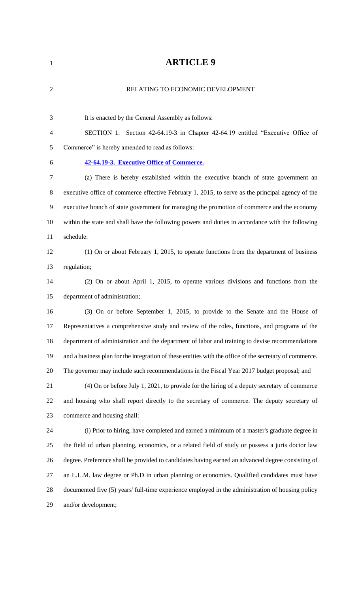| $\mathbf{1}$   | <b>ARTICLE 9</b>                                                                                        |
|----------------|---------------------------------------------------------------------------------------------------------|
| $\overline{2}$ | RELATING TO ECONOMIC DEVELOPMENT                                                                        |
| 3              | It is enacted by the General Assembly as follows:                                                       |
| $\overline{4}$ | SECTION 1. Section 42-64.19-3 in Chapter 42-64.19 entitled "Executive Office of                         |
| 5              | Commerce" is hereby amended to read as follows:                                                         |
| 6              | 42-64.19-3. Executive Office of Commerce.                                                               |
| $\overline{7}$ | (a) There is hereby established within the executive branch of state government an                      |
| $8\,$          | executive office of commerce effective February 1, 2015, to serve as the principal agency of the        |
| 9              | executive branch of state government for managing the promotion of commerce and the economy             |
| 10             | within the state and shall have the following powers and duties in accordance with the following        |
| 11             | schedule:                                                                                               |
| 12             | (1) On or about February 1, 2015, to operate functions from the department of business                  |
| 13             | regulation;                                                                                             |
| 14             | (2) On or about April 1, 2015, to operate various divisions and functions from the                      |
| 15             | department of administration;                                                                           |
| 16             | (3) On or before September 1, 2015, to provide to the Senate and the House of                           |
| 17             | Representatives a comprehensive study and review of the roles, functions, and programs of the           |
| 18             | department of administration and the department of labor and training to devise recommendations         |
| 19             | and a business plan for the integration of these entities with the office of the secretary of commerce. |
| 20             | The governor may include such recommendations in the Fiscal Year 2017 budget proposal; and              |
| 21             | (4) On or before July 1, 2021, to provide for the hiring of a deputy secretary of commerce              |
| 22             | and housing who shall report directly to the secretary of commerce. The deputy secretary of             |
| 23             | commerce and housing shall:                                                                             |
| 24             | (i) Prior to hiring, have completed and earned a minimum of a master's graduate degree in               |
| 25             | the field of urban planning, economics, or a related field of study or possess a juris doctor law       |
| 26             | degree. Preference shall be provided to candidates having earned an advanced degree consisting of       |
| 27             | an L.L.M. law degree or Ph.D in urban planning or economics. Qualified candidates must have             |
| 28             | documented five (5) years' full-time experience employed in the administration of housing policy        |
| 29             | and/or development;                                                                                     |
|                |                                                                                                         |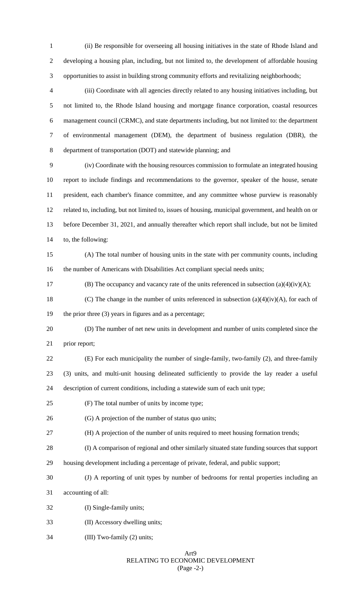(ii) Be responsible for overseeing all housing initiatives in the state of Rhode Island and developing a housing plan, including, but not limited to, the development of affordable housing opportunities to assist in building strong community efforts and revitalizing neighborhoods;

 (iii) Coordinate with all agencies directly related to any housing initiatives including, but not limited to, the Rhode Island housing and mortgage finance corporation, coastal resources management council (CRMC), and state departments including, but not limited to: the department of environmental management (DEM), the department of business regulation (DBR), the department of transportation (DOT) and statewide planning; and

 (iv) Coordinate with the housing resources commission to formulate an integrated housing report to include findings and recommendations to the governor, speaker of the house, senate president, each chamber's finance committee, and any committee whose purview is reasonably related to, including, but not limited to, issues of housing, municipal government, and health on or before December 31, 2021, and annually thereafter which report shall include, but not be limited to, the following:

 (A) The total number of housing units in the state with per community counts, including the number of Americans with Disabilities Act compliant special needs units;

17 (B) The occupancy and vacancy rate of the units referenced in subsection (a)(4)(iv)(A);

18 (C) The change in the number of units referenced in subsection  $(a)(4)(iv)(A)$ , for each of the prior three (3) years in figures and as a percentage;

 (D) The number of net new units in development and number of units completed since the prior report;

- (E) For each municipality the number of single-family, two-family (2), and three-family (3) units, and multi-unit housing delineated sufficiently to provide the lay reader a useful description of current conditions, including a statewide sum of each unit type;
- (F) The total number of units by income type;
- (G) A projection of the number of status quo units;
- (H) A projection of the number of units required to meet housing formation trends;
- (I) A comparison of regional and other similarly situated state funding sources that support
- housing development including a percentage of private, federal, and public support;
- (J) A reporting of unit types by number of bedrooms for rental properties including an

accounting of all:

- (I) Single-family units;
- (II) Accessory dwelling units;
- (III) Two-family (2) units;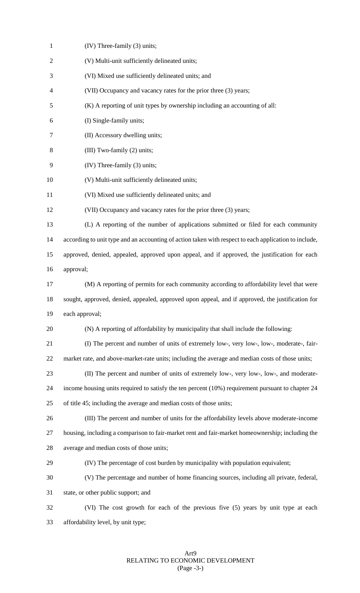| $\mathbf{1}$   | (IV) Three-family (3) units;                                                                          |
|----------------|-------------------------------------------------------------------------------------------------------|
| $\overline{2}$ | (V) Multi-unit sufficiently delineated units;                                                         |
| 3              | (VI) Mixed use sufficiently delineated units; and                                                     |
| $\overline{4}$ | (VII) Occupancy and vacancy rates for the prior three (3) years;                                      |
| 5              | (K) A reporting of unit types by ownership including an accounting of all:                            |
| 6              | (I) Single-family units;                                                                              |
| 7              | (II) Accessory dwelling units;                                                                        |
| 8              | (III) Two-family (2) units;                                                                           |
| 9              | (IV) Three-family (3) units;                                                                          |
| 10             | (V) Multi-unit sufficiently delineated units;                                                         |
| 11             | (VI) Mixed use sufficiently delineated units; and                                                     |
| 12             | (VII) Occupancy and vacancy rates for the prior three (3) years;                                      |
| 13             | (L) A reporting of the number of applications submitted or filed for each community                   |
| 14             | according to unit type and an accounting of action taken with respect to each application to include, |
| 15             | approved, denied, appealed, approved upon appeal, and if approved, the justification for each         |
| 16             | approval;                                                                                             |
| 17             | (M) A reporting of permits for each community according to affordability level that were              |
| 18             | sought, approved, denied, appealed, approved upon appeal, and if approved, the justification for      |
| 19             | each approval;                                                                                        |
| 20             | (N) A reporting of affordability by municipality that shall include the following:                    |
| 21             | (I) The percent and number of units of extremely low-, very low-, low-, moderate-, fair-              |
| 22             | market rate, and above-market-rate units; including the average and median costs of those units;      |
| 23             | (II) The percent and number of units of extremely low-, very low-, low-, and moderate-                |
| 24             | income housing units required to satisfy the ten percent (10%) requirement pursuant to chapter 24     |
| 25             | of title 45; including the average and median costs of those units;                                   |
| 26             | (III) The percent and number of units for the affordability levels above moderate-income              |
| 27             | housing, including a comparison to fair-market rent and fair-market homeownership; including the      |
| 28             | average and median costs of those units;                                                              |
| 29             | (IV) The percentage of cost burden by municipality with population equivalent;                        |
| 30             | (V) The percentage and number of home financing sources, including all private, federal,              |
| 31             | state, or other public support; and                                                                   |
| 32             | (VI) The cost growth for each of the previous five (5) years by unit type at each                     |
| 33             | affordability level, by unit type;                                                                    |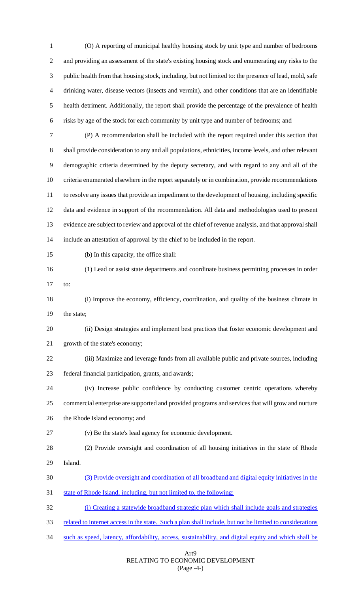(O) A reporting of municipal healthy housing stock by unit type and number of bedrooms and providing an assessment of the state's existing housing stock and enumerating any risks to the public health from that housing stock, including, but not limited to: the presence of lead, mold, safe drinking water, disease vectors (insects and vermin), and other conditions that are an identifiable health detriment. Additionally, the report shall provide the percentage of the prevalence of health risks by age of the stock for each community by unit type and number of bedrooms; and

 (P) A recommendation shall be included with the report required under this section that shall provide consideration to any and all populations, ethnicities, income levels, and other relevant demographic criteria determined by the deputy secretary, and with regard to any and all of the criteria enumerated elsewhere in the report separately or in combination, provide recommendations to resolve any issues that provide an impediment to the development of housing, including specific data and evidence in support of the recommendation. All data and methodologies used to present evidence are subject to review and approval of the chief of revenue analysis, and that approval shall include an attestation of approval by the chief to be included in the report.

- (b) In this capacity, the office shall:
- (1) Lead or assist state departments and coordinate business permitting processes in order to:
- (i) Improve the economy, efficiency, coordination, and quality of the business climate in the state;

 (ii) Design strategies and implement best practices that foster economic development and growth of the state's economy;

 (iii) Maximize and leverage funds from all available public and private sources, including federal financial participation, grants, and awards;

 (iv) Increase public confidence by conducting customer centric operations whereby commercial enterprise are supported and provided programs and services that will grow and nurture the Rhode Island economy; and

- (v) Be the state's lead agency for economic development.
- (2) Provide oversight and coordination of all housing initiatives in the state of Rhode Island.
- (3) Provide oversight and coordination of all broadband and digital equity initiatives in the

state of Rhode Island, including, but not limited to, the following:

(i) Creating a statewide broadband strategic plan which shall include goals and strategies

- 33 related to internet access in the state. Such a plan shall include, but not be limited to considerations
- such as speed, latency, affordability, access, sustainability, and digital equity and which shall be

#### Art9 RELATING TO ECONOMIC DEVELOPMENT (Page -4-)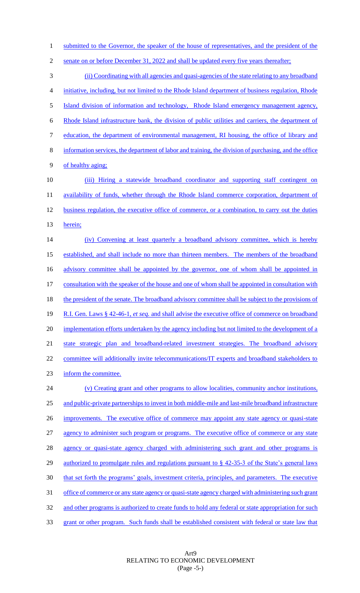1 submitted to the Governor, the speaker of the house of representatives, and the president of the

2 senate on or before December 31, 2022 and shall be updated every five years thereafter; (ii) Coordinating with all agencies and quasi-agencies of the state relating to any broadband initiative, including, but not limited to the Rhode Island department of business regulation, Rhode Island division of information and technology, Rhode Island emergency management agency, Rhode Island infrastructure bank, the division of public utilities and carriers, the department of education, the department of environmental management, RI housing, the office of library and information services, the department of labor and training, the division of purchasing, and the office of healthy aging; (iii) Hiring a statewide broadband coordinator and supporting staff contingent on 11 availability of funds, whether through the Rhode Island commerce corporation, department of 12 business regulation, the executive office of commerce, or a combination, to carry out the duties 13 herein; (iv) Convening at least quarterly a broadband advisory committee, which is hereby established, and shall include no more than thirteen members. The members of the broadband 16 advisory committee shall be appointed by the governor, one of whom shall be appointed in consultation with the speaker of the house and one of whom shall be appointed in consultation with 18 the president of the senate. The broadband advisory committee shall be subject to the provisions of R.I. Gen. Laws § 42-46-1, *et seq.* and shall advise the executive office of commerce on broadband 20 implementation efforts undertaken by the agency including but not limited to the development of a state strategic plan and broadband-related investment strategies. The broadband advisory 22 committee will additionally invite telecommunications/IT experts and broadband stakeholders to inform the committee. (v) Creating grant and other programs to allow localities, community anchor institutions, and public-private partnerships to invest in both middle-mile and last-mile broadband infrastructure 26 improvements. The executive office of commerce may appoint any state agency or quasi-state

27 agency to administer such program or programs. The executive office of commerce or any state 28 agency or quasi-state agency charged with administering such grant and other programs is 29 authorized to promulgate rules and regulations pursuant to § 42-35-3 of the State's general laws 30 that set forth the programs' goals, investment criteria, principles, and parameters. The executive 31 office of commerce or any state agency or quasi-state agency charged with administering such grant 32 and other programs is authorized to create funds to hold any federal or state appropriation for such 33 grant or other program. Such funds shall be established consistent with federal or state law that

> Art9 RELATING TO ECONOMIC DEVELOPMENT (Page -5-)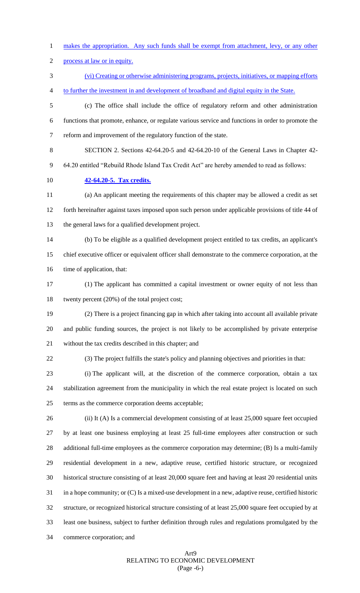makes the appropriation. Any such funds shall be exempt from attachment, levy, or any other

process at law or in equity.

 (vi) Creating or otherwise administering programs, projects, initiatives, or mapping efforts to further the investment in and development of broadband and digital equity in the State.

 (c) The office shall include the office of regulatory reform and other administration functions that promote, enhance, or regulate various service and functions in order to promote the reform and improvement of the regulatory function of the state.

SECTION 2. Sections 42-64.20-5 and 42-64.20-10 of the General Laws in Chapter 42-

64.20 entitled "Rebuild Rhode Island Tax Credit Act" are hereby amended to read as follows:

**42-64.20-5. Tax credits.**

 (a) An applicant meeting the requirements of this chapter may be allowed a credit as set forth hereinafter against taxes imposed upon such person under applicable provisions of title 44 of the general laws for a qualified development project.

 (b) To be eligible as a qualified development project entitled to tax credits, an applicant's chief executive officer or equivalent officer shall demonstrate to the commerce corporation, at the 16 time of application, that:

 (1) The applicant has committed a capital investment or owner equity of not less than twenty percent (20%) of the total project cost;

 (2) There is a project financing gap in which after taking into account all available private and public funding sources, the project is not likely to be accomplished by private enterprise without the tax credits described in this chapter; and

(3) The project fulfills the state's policy and planning objectives and priorities in that:

 (i) The applicant will, at the discretion of the commerce corporation, obtain a tax stabilization agreement from the municipality in which the real estate project is located on such terms as the commerce corporation deems acceptable;

 (ii) It (A) Is a commercial development consisting of at least 25,000 square feet occupied by at least one business employing at least 25 full-time employees after construction or such additional full-time employees as the commerce corporation may determine; (B) Is a multi-family residential development in a new, adaptive reuse, certified historic structure, or recognized historical structure consisting of at least 20,000 square feet and having at least 20 residential units in a hope community; or (C) Is a mixed-use development in a new, adaptive reuse, certified historic structure, or recognized historical structure consisting of at least 25,000 square feet occupied by at least one business, subject to further definition through rules and regulations promulgated by the commerce corporation; and

## Art9 RELATING TO ECONOMIC DEVELOPMENT (Page -6-)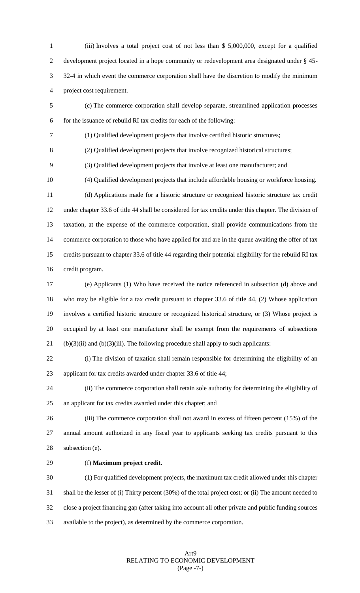(iii) Involves a total project cost of not less than \$ 5,000,000, except for a qualified development project located in a hope community or redevelopment area designated under § 45- 32-4 in which event the commerce corporation shall have the discretion to modify the minimum project cost requirement.

 (c) The commerce corporation shall develop separate, streamlined application processes for the issuance of rebuild RI tax credits for each of the following:

(1) Qualified development projects that involve certified historic structures;

(2) Qualified development projects that involve recognized historical structures;

(3) Qualified development projects that involve at least one manufacturer; and

(4) Qualified development projects that include affordable housing or workforce housing.

 (d) Applications made for a historic structure or recognized historic structure tax credit under chapter 33.6 of title 44 shall be considered for tax credits under this chapter. The division of taxation, at the expense of the commerce corporation, shall provide communications from the commerce corporation to those who have applied for and are in the queue awaiting the offer of tax credits pursuant to chapter 33.6 of title 44 regarding their potential eligibility for the rebuild RI tax credit program.

 (e) Applicants (1) Who have received the notice referenced in subsection (d) above and who may be eligible for a tax credit pursuant to chapter 33.6 of title 44, (2) Whose application involves a certified historic structure or recognized historical structure, or (3) Whose project is occupied by at least one manufacturer shall be exempt from the requirements of subsections 21 (b)(3)(ii) and (b)(3)(iii). The following procedure shall apply to such applicants:

 (i) The division of taxation shall remain responsible for determining the eligibility of an applicant for tax credits awarded under chapter 33.6 of title 44;

 (ii) The commerce corporation shall retain sole authority for determining the eligibility of an applicant for tax credits awarded under this chapter; and

 (iii) The commerce corporation shall not award in excess of fifteen percent (15%) of the annual amount authorized in any fiscal year to applicants seeking tax credits pursuant to this subsection (e).

# (f) **Maximum project credit.**

 (1) For qualified development projects, the maximum tax credit allowed under this chapter shall be the lesser of (i) Thirty percent (30%) of the total project cost; or (ii) The amount needed to close a project financing gap (after taking into account all other private and public funding sources available to the project), as determined by the commerce corporation.

> Art9 RELATING TO ECONOMIC DEVELOPMENT (Page -7-)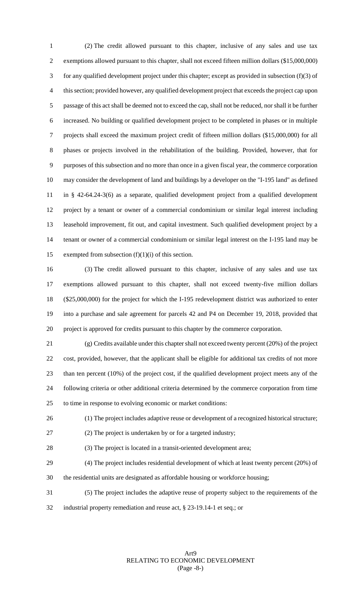(2) The credit allowed pursuant to this chapter, inclusive of any sales and use tax exemptions allowed pursuant to this chapter, shall not exceed fifteen million dollars (\$15,000,000) for any qualified development project under this chapter; except as provided in subsection (f)(3) of this section; provided however, any qualified development project that exceeds the project cap upon passage of this act shall be deemed not to exceed the cap, shall not be reduced, nor shall it be further increased. No building or qualified development project to be completed in phases or in multiple projects shall exceed the maximum project credit of fifteen million dollars (\$15,000,000) for all phases or projects involved in the rehabilitation of the building. Provided, however, that for purposes of this subsection and no more than once in a given fiscal year, the commerce corporation may consider the development of land and buildings by a developer on the "I-195 land" as defined in § 42-64.24-3(6) as a separate, qualified development project from a qualified development project by a tenant or owner of a commercial condominium or similar legal interest including leasehold improvement, fit out, and capital investment. Such qualified development project by a tenant or owner of a commercial condominium or similar legal interest on the I-195 land may be 15 exempted from subsection  $(f)(1)(i)$  of this section.

 (3) The credit allowed pursuant to this chapter, inclusive of any sales and use tax exemptions allowed pursuant to this chapter, shall not exceed twenty-five million dollars (\$25,000,000) for the project for which the I-195 redevelopment district was authorized to enter into a purchase and sale agreement for parcels 42 and P4 on December 19, 2018, provided that project is approved for credits pursuant to this chapter by the commerce corporation.

 (g) Credits available under this chapter shall not exceed twenty percent (20%) of the project cost, provided, however, that the applicant shall be eligible for additional tax credits of not more than ten percent (10%) of the project cost, if the qualified development project meets any of the following criteria or other additional criteria determined by the commerce corporation from time to time in response to evolving economic or market conditions:

(1) The project includes adaptive reuse or development of a recognized historical structure;

(2) The project is undertaken by or for a targeted industry;

(3) The project is located in a transit-oriented development area;

- (4) The project includes residential development of which at least twenty percent (20%) of the residential units are designated as affordable housing or workforce housing;
- (5) The project includes the adaptive reuse of property subject to the requirements of the
- industrial property remediation and reuse act, § 23-19.14-1 et seq.; or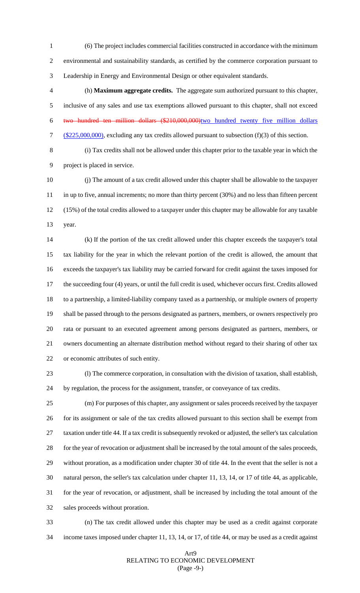(6) The project includes commercial facilities constructed in accordance with the minimum environmental and sustainability standards, as certified by the commerce corporation pursuant to Leadership in Energy and Environmental Design or other equivalent standards.

 (h) **Maximum aggregate credits.** The aggregate sum authorized pursuant to this chapter, inclusive of any sales and use tax exemptions allowed pursuant to this chapter, shall not exceed two hundred ten million dollars (\$210,000,000)two hundred twenty five million dollars 7 (\$225,000,000), excluding any tax credits allowed pursuant to subsection (f)(3) of this section.

 (i) Tax credits shall not be allowed under this chapter prior to the taxable year in which the project is placed in service.

 (j) The amount of a tax credit allowed under this chapter shall be allowable to the taxpayer 11 in up to five, annual increments; no more than thirty percent (30%) and no less than fifteen percent (15%) of the total credits allowed to a taxpayer under this chapter may be allowable for any taxable year.

 (k) If the portion of the tax credit allowed under this chapter exceeds the taxpayer's total tax liability for the year in which the relevant portion of the credit is allowed, the amount that exceeds the taxpayer's tax liability may be carried forward for credit against the taxes imposed for the succeeding four (4) years, or until the full credit is used, whichever occurs first. Credits allowed to a partnership, a limited-liability company taxed as a partnership, or multiple owners of property shall be passed through to the persons designated as partners, members, or owners respectively pro rata or pursuant to an executed agreement among persons designated as partners, members, or owners documenting an alternate distribution method without regard to their sharing of other tax or economic attributes of such entity.

 (l) The commerce corporation, in consultation with the division of taxation, shall establish, by regulation, the process for the assignment, transfer, or conveyance of tax credits.

 (m) For purposes of this chapter, any assignment or sales proceeds received by the taxpayer for its assignment or sale of the tax credits allowed pursuant to this section shall be exempt from taxation under title 44. If a tax credit is subsequently revoked or adjusted, the seller's tax calculation for the year of revocation or adjustment shall be increased by the total amount of the sales proceeds, without proration, as a modification under chapter 30 of title 44. In the event that the seller is not a natural person, the seller's tax calculation under chapter 11, 13, 14, or 17 of title 44, as applicable, for the year of revocation, or adjustment, shall be increased by including the total amount of the sales proceeds without proration.

 (n) The tax credit allowed under this chapter may be used as a credit against corporate income taxes imposed under chapter 11, 13, 14, or 17, of title 44, or may be used as a credit against

#### Art9 RELATING TO ECONOMIC DEVELOPMENT (Page -9-)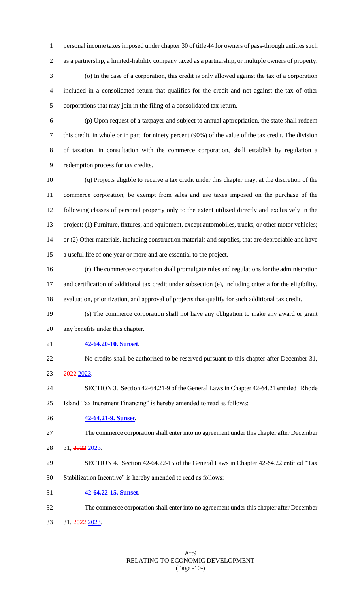personal income taxes imposed under chapter 30 of title 44 for owners of pass-through entities such as a partnership, a limited-liability company taxed as a partnership, or multiple owners of property. (o) In the case of a corporation, this credit is only allowed against the tax of a corporation

 included in a consolidated return that qualifies for the credit and not against the tax of other corporations that may join in the filing of a consolidated tax return.

 (p) Upon request of a taxpayer and subject to annual appropriation, the state shall redeem this credit, in whole or in part, for ninety percent (90%) of the value of the tax credit. The division of taxation, in consultation with the commerce corporation, shall establish by regulation a redemption process for tax credits.

 (q) Projects eligible to receive a tax credit under this chapter may, at the discretion of the commerce corporation, be exempt from sales and use taxes imposed on the purchase of the following classes of personal property only to the extent utilized directly and exclusively in the project: (1) Furniture, fixtures, and equipment, except automobiles, trucks, or other motor vehicles; or (2) Other materials, including construction materials and supplies, that are depreciable and have a useful life of one year or more and are essential to the project.

 (r) The commerce corporation shall promulgate rules and regulations for the administration and certification of additional tax credit under subsection (e), including criteria for the eligibility, evaluation, prioritization, and approval of projects that qualify for such additional tax credit.

- (s) The commerce corporation shall not have any obligation to make any award or grant any benefits under this chapter.
- **42-64.20-10. Sunset.**
- No credits shall be authorized to be reserved pursuant to this chapter after December 31, 2022 2023.
- SECTION 3. Section 42-64.21-9 of the General Laws in Chapter 42-64.21 entitled "Rhode Island Tax Increment Financing" is hereby amended to read as follows:
- **42-64.21-9. Sunset.**
- The commerce corporation shall enter into no agreement under this chapter after December
- 31, 2022 2023.
- SECTION 4. Section 42-64.22-15 of the General Laws in Chapter 42-64.22 entitled "Tax
- Stabilization Incentive" is hereby amended to read as follows:
- **42-64.22-15. Sunset.**
- The commerce corporation shall enter into no agreement under this chapter after December
- 31, 2022 2023.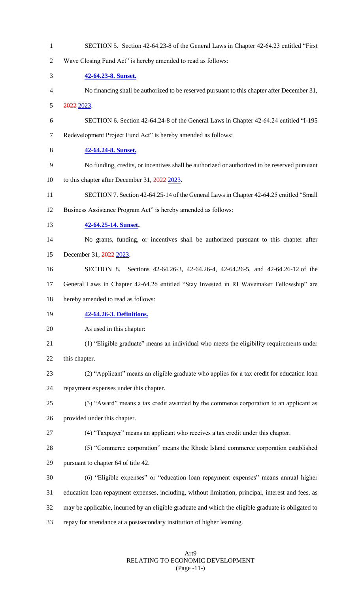SECTION 5. Section 42-64.23-8 of the General Laws in Chapter 42-64.23 entitled "First Wave Closing Fund Act" is hereby amended to read as follows: **42-64.23-8. Sunset.**  No financing shall be authorized to be reserved pursuant to this chapter after December 31, 2022 2023. SECTION 6. Section 42-64.24-8 of the General Laws in Chapter 42-64.24 entitled "I-195 Redevelopment Project Fund Act" is hereby amended as follows: **42-64.24-8. Sunset.**  No funding, credits, or incentives shall be authorized or authorized to be reserved pursuant 10 to this chapter after December 31, 2022 2023. SECTION 7. Section 42-64.25-14 of the General Laws in Chapter 42-64.25 entitled "Small Business Assistance Program Act" is hereby amended as follows: **42-64.25-14. Sunset.**  No grants, funding, or incentives shall be authorized pursuant to this chapter after 15 December 31, 2022 2023. SECTION 8. Sections 42-64.26-3, 42-64.26-4, 42-64.26-5, and 42-64.26-12 of the General Laws in Chapter 42-64.26 entitled "Stay Invested in RI Wavemaker Fellowship" are hereby amended to read as follows: **42-64.26-3. Definitions.** As used in this chapter: (1) "Eligible graduate" means an individual who meets the eligibility requirements under this chapter. (2) "Applicant" means an eligible graduate who applies for a tax credit for education loan repayment expenses under this chapter. (3) "Award" means a tax credit awarded by the commerce corporation to an applicant as provided under this chapter. (4) "Taxpayer" means an applicant who receives a tax credit under this chapter. (5) "Commerce corporation" means the Rhode Island commerce corporation established pursuant to chapter 64 of title 42. (6) "Eligible expenses" or "education loan repayment expenses" means annual higher education loan repayment expenses, including, without limitation, principal, interest and fees, as may be applicable, incurred by an eligible graduate and which the eligible graduate is obligated to repay for attendance at a postsecondary institution of higher learning.

### Art9 RELATING TO ECONOMIC DEVELOPMENT (Page -11-)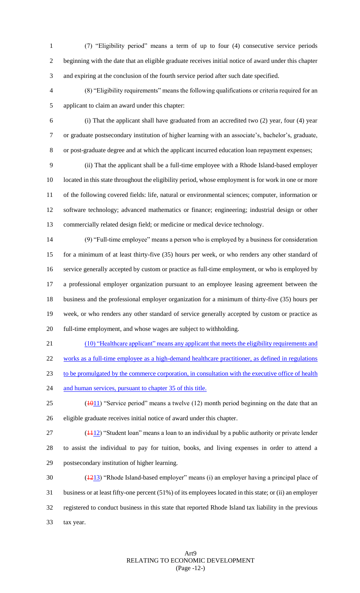(7) "Eligibility period" means a term of up to four (4) consecutive service periods beginning with the date that an eligible graduate receives initial notice of award under this chapter and expiring at the conclusion of the fourth service period after such date specified.

 (8) "Eligibility requirements" means the following qualifications or criteria required for an applicant to claim an award under this chapter:

 (i) That the applicant shall have graduated from an accredited two (2) year, four (4) year or graduate postsecondary institution of higher learning with an associate's, bachelor's, graduate, or post-graduate degree and at which the applicant incurred education loan repayment expenses;

 (ii) That the applicant shall be a full-time employee with a Rhode Island-based employer located in this state throughout the eligibility period, whose employment is for work in one or more of the following covered fields: life, natural or environmental sciences; computer, information or software technology; advanced mathematics or finance; engineering; industrial design or other commercially related design field; or medicine or medical device technology.

 (9) "Full-time employee" means a person who is employed by a business for consideration for a minimum of at least thirty-five (35) hours per week, or who renders any other standard of service generally accepted by custom or practice as full-time employment, or who is employed by a professional employer organization pursuant to an employee leasing agreement between the business and the professional employer organization for a minimum of thirty-five (35) hours per week, or who renders any other standard of service generally accepted by custom or practice as full-time employment, and whose wages are subject to withholding.

 (10) "Healthcare applicant" means any applicant that meets the eligibility requirements and works as a full-time employee as a high-demand healthcare practitioner, as defined in regulations to be promulgated by the commerce corporation, in consultation with the executive office of health 24 and human services, pursuant to chapter 35 of this title.

- 25 ( $\frac{1011}{25}$  "Service period" means a twelve (12) month period beginning on the date that an eligible graduate receives initial notice of award under this chapter.
- 27 (1412) "Student loan" means a loan to an individual by a public authority or private lender to assist the individual to pay for tuition, books, and living expenses in order to attend a postsecondary institution of higher learning.

30 ( $\frac{1213}{2}$  "Rhode Island-based employer" means (i) an employer having a principal place of business or at least fifty-one percent (51%) of its employees located in this state; or (ii) an employer registered to conduct business in this state that reported Rhode Island tax liability in the previous tax year.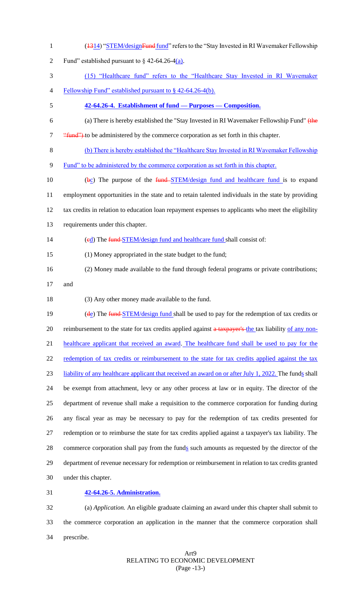- 1 (1314) "STEM/designFund fund" refers to the "Stay Invested in RI Wavemaker Fellowship
- 2 Fund" established pursuant to  $\S$  42-64.26-4(a).
- (15) "Healthcare fund" refers to the "Healthcare Stay Invested in RI Wavemaker
- Fellowship Fund" established pursuant to § 42-64.26-4(b).
- **42-64.26-4. Establishment of fund — Purposes — Composition.**
- (a) There is hereby established the "Stay Invested in RI Wavemaker Fellowship Fund" (the 7 "<del>"fund")</del> to be administered by the commerce corporation as set forth in this chapter.
- (b) There is hereby established the "Healthcare Stay Invested in RI Wavemaker Fellowship
- Fund" to be administered by the commerce corporation as set forth in this chapter.
- 10 (bc) The purpose of the fund STEM/design fund and healthcare fund is to expand employment opportunities in the state and to retain talented individuals in the state by providing tax credits in relation to education loan repayment expenses to applicants who meet the eligibility requirements under this chapter.
- 14 (ed) The fund STEM/design fund and healthcare fund shall consist of:
- (1) Money appropriated in the state budget to the fund;
- (2) Money made available to the fund through federal programs or private contributions;
- and
- (3) Any other money made available to the fund.

19 (de) The fund STEM/design fund shall be used to pay for the redemption of tax credits or 20 reimbursement to the state for tax credits applied against a taxpayer's the tax liability of any non- healthcare applicant that received an award. The healthcare fund shall be used to pay for the 22 redemption of tax credits or reimbursement to the state for tax credits applied against the tax liability of any healthcare applicant that received an award on or after July 1, 2022. The funds shall be exempt from attachment, levy or any other process at law or in equity. The director of the department of revenue shall make a requisition to the commerce corporation for funding during any fiscal year as may be necessary to pay for the redemption of tax credits presented for redemption or to reimburse the state for tax credits applied against a taxpayer's tax liability. The 28 commerce corporation shall pay from the funds such amounts as requested by the director of the department of revenue necessary for redemption or reimbursement in relation to tax credits granted under this chapter.

**42-64.26-5. Administration.**

 (a) *Application.* An eligible graduate claiming an award under this chapter shall submit to the commerce corporation an application in the manner that the commerce corporation shall prescribe.

## Art9 RELATING TO ECONOMIC DEVELOPMENT (Page -13-)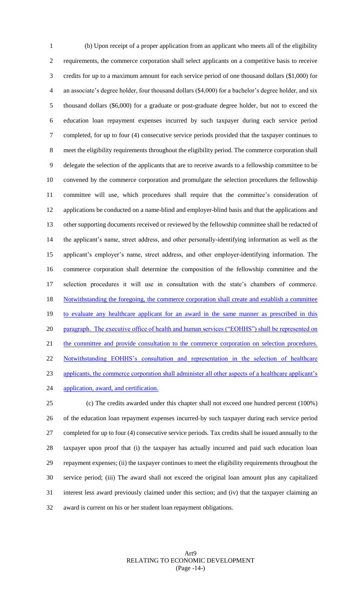(b) Upon receipt of a proper application from an applicant who meets all of the eligibility requirements, the commerce corporation shall select applicants on a competitive basis to receive credits for up to a maximum amount for each service period of one thousand dollars (\$1,000) for an associate's degree holder, four thousand dollars (\$4,000) for a bachelor's degree holder, and six thousand dollars (\$6,000) for a graduate or post-graduate degree holder, but not to exceed the education loan repayment expenses incurred by such taxpayer during each service period completed, for up to four (4) consecutive service periods provided that the taxpayer continues to meet the eligibility requirements throughout the eligibility period. The commerce corporation shall delegate the selection of the applicants that are to receive awards to a fellowship committee to be convened by the commerce corporation and promulgate the selection procedures the fellowship committee will use, which procedures shall require that the committee's consideration of applications be conducted on a name-blind and employer-blind basis and that the applications and other supporting documents received or reviewed by the fellowship committee shall be redacted of the applicant's name, street address, and other personally-identifying information as well as the applicant's employer's name, street address, and other employer-identifying information. The commerce corporation shall determine the composition of the fellowship committee and the selection procedures it will use in consultation with the state's chambers of commerce. 18 Notwithstanding the foregoing, the commerce corporation shall create and establish a committee to evaluate any healthcare applicant for an award in the same manner as prescribed in this 20 paragraph. The executive office of health and human services ("EOHHS") shall be represented on 21 the committee and provide consultation to the commerce corporation on selection procedures. Notwithstanding EOHHS's consultation and representation in the selection of healthcare applicants, the commerce corporation shall administer all other aspects of a healthcare applicant's 24 application, award, and certification. (c) The credits awarded under this chapter shall not exceed one hundred percent (100%)

 of the education loan repayment expenses incurred by such taxpayer during each service period completed for up to four (4) consecutive service periods. Tax credits shall be issued annually to the taxpayer upon proof that (i) the taxpayer has actually incurred and paid such education loan repayment expenses; (ii) the taxpayer continues to meet the eligibility requirements throughout the service period; (iii) The award shall not exceed the original loan amount plus any capitalized interest less award previously claimed under this section; and (iv) that the taxpayer claiming an award is current on his or her student loan repayment obligations.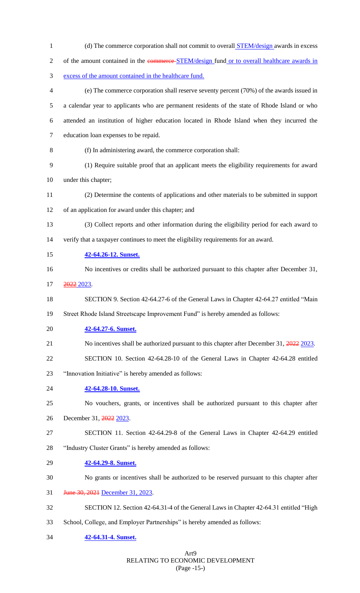| $\mathbf{1}$   | (d) The commerce corporation shall not commit to overall <b>STEM/design</b> awards in excess  |
|----------------|-----------------------------------------------------------------------------------------------|
| $\overline{2}$ | of the amount contained in the commerce-STEM/design fund or to overall healthcare awards in   |
| 3              | excess of the amount contained in the healthcare fund.                                        |
| 4              | (e) The commerce corporation shall reserve seventy percent (70%) of the awards issued in      |
| 5              | a calendar year to applicants who are permanent residents of the state of Rhode Island or who |
| 6              | attended an institution of higher education located in Rhode Island when they incurred the    |
| $\tau$         | education loan expenses to be repaid.                                                         |
| 8              | (f) In administering award, the commerce corporation shall:                                   |
| 9              | (1) Require suitable proof that an applicant meets the eligibility requirements for award     |
| 10             | under this chapter;                                                                           |
| 11             | (2) Determine the contents of applications and other materials to be submitted in support     |
| 12             | of an application for award under this chapter; and                                           |
| 13             | (3) Collect reports and other information during the eligibility period for each award to     |
| 14             | verify that a taxpayer continues to meet the eligibility requirements for an award.           |
| 15             | 42-64.26-12. Sunset.                                                                          |
| 16             | No incentives or credits shall be authorized pursuant to this chapter after December 31,      |
| 17             | <del>2022</del> 2023.                                                                         |
| 18             | SECTION 9. Section 42-64.27-6 of the General Laws in Chapter 42-64.27 entitled "Main          |
| 19             | Street Rhode Island Streetscape Improvement Fund" is hereby amended as follows:               |
| 20             | 42-64.27-6. Sunset.                                                                           |
| 21             | No incentives shall be authorized pursuant to this chapter after December 31, 2022 2023.      |
| 22             | SECTION 10. Section 42-64.28-10 of the General Laws in Chapter 42-64.28 entitled              |
| 23             | "Innovation Initiative" is hereby amended as follows:                                         |
| 24             | 42-64.28-10. Sunset.                                                                          |
| 25             | No vouchers, grants, or incentives shall be authorized pursuant to this chapter after         |
| 26             | December 31, 2022 2023.                                                                       |
| 27             | SECTION 11. Section 42-64.29-8 of the General Laws in Chapter 42-64.29 entitled               |
| 28             | "Industry Cluster Grants" is hereby amended as follows:                                       |
| 29             | 42-64.29-8. Sunset.                                                                           |
| 30             | No grants or incentives shall be authorized to be reserved pursuant to this chapter after     |
| 31             | June 30, 2021 December 31, 2023.                                                              |
| 32             | SECTION 12. Section 42-64.31-4 of the General Laws in Chapter 42-64.31 entitled "High         |
| 33             | School, College, and Employer Partnerships" is hereby amended as follows:                     |
| 34             | 42-64.31-4. Sunset.                                                                           |
|                |                                                                                               |